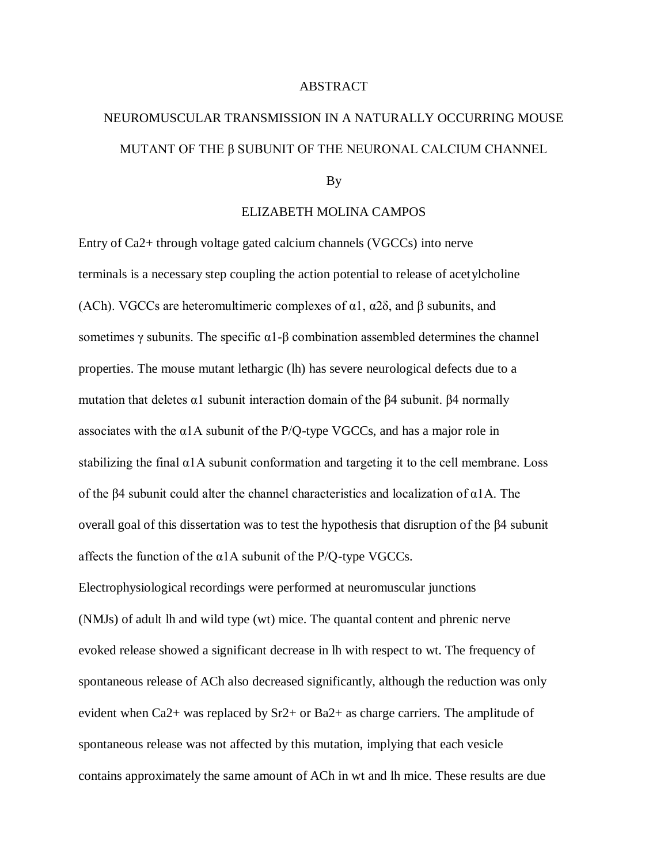## ABSTRACT

## NEUROMUSCULAR TRANSMISSION IN A NATURALLY OCCURRING MOUSE MUTANT OF THE β SUBUNIT OF THE NEURONAL CALCIUM CHANNEL

## By

## ELIZABETH MOLINA CAMPOS

Entry of Ca2+ through voltage gated calcium channels (VGCCs) into nerve terminals is a necessary step coupling the action potential to release of acetylcholine (ACh). VGCCs are heteromultimeric complexes of  $\alpha$ 1,  $\alpha$ 2 $\delta$ , and  $\beta$  subunits, and sometimes  $\gamma$  subunits. The specific  $\alpha$ 1-β combination assembled determines the channel properties. The mouse mutant lethargic (lh) has severe neurological defects due to a mutation that deletes α1 subunit interaction domain of the β4 subunit. β4 normally associates with the  $\alpha$ 1A subunit of the P/Q-type VGCCs, and has a major role in stabilizing the final  $\alpha$ 1A subunit conformation and targeting it to the cell membrane. Loss of the β4 subunit could alter the channel characteristics and localization of α1A. The overall goal of this dissertation was to test the hypothesis that disruption of the β4 subunit affects the function of the  $\alpha$ 1A subunit of the P/Q-type VGCCs.

Electrophysiological recordings were performed at neuromuscular junctions (NMJs) of adult lh and wild type (wt) mice. The quantal content and phrenic nerve evoked release showed a significant decrease in lh with respect to wt. The frequency of spontaneous release of ACh also decreased significantly, although the reduction was only evident when Ca2+ was replaced by Sr2+ or Ba2+ as charge carriers. The amplitude of spontaneous release was not affected by this mutation, implying that each vesicle contains approximately the same amount of ACh in wt and lh mice. These results are due